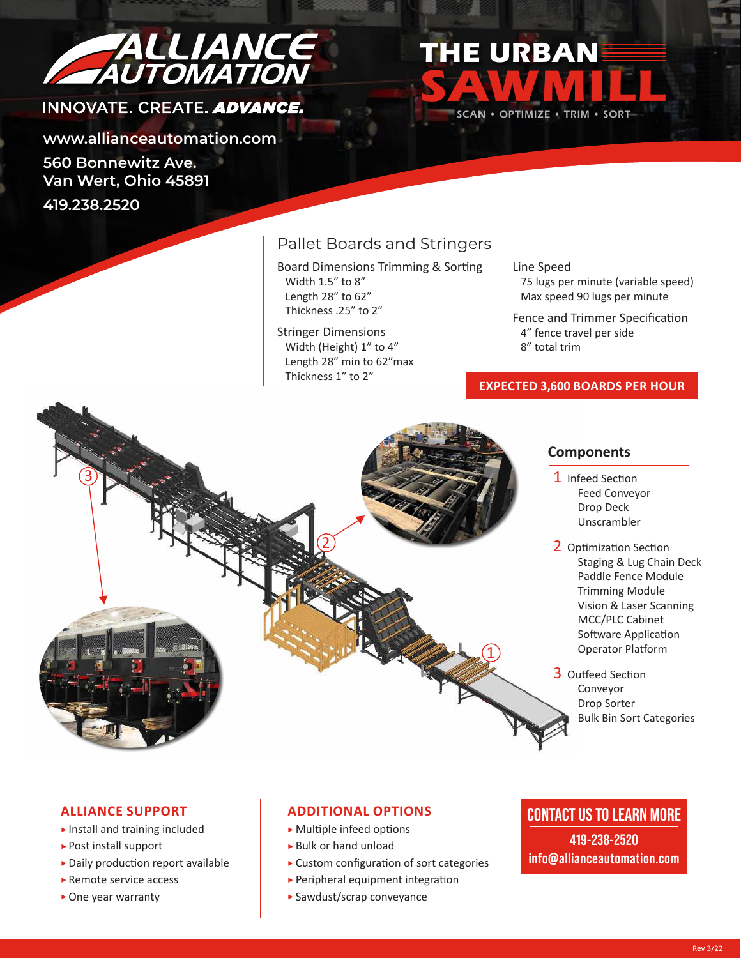

# INNOVATE, CREATE, ADVANCE.

**www.allianceautomation.com 560 Bonnewitz Ave.**

**Van Wert, Ohio 45891**

**419.238.2520**

ີ້

## Pallet Boards and Stringers

Board Dimensions Trimming & Sorting Width 1.5" to 8" Length 28" to 62" Thickness .25" to 2"

Stringer Dimensions Width (Height) 1" to 4" Length 28" min to 62"max Thickness 1" to 2"

 $\widehat{\mathsf{2}}$ 

Line Speed

**SAWMILL**

SCAN • OPTIMIZE • TRIM • SORT

**THE URBAN**

 $\widehat{\mathbf{1}}$ 

 75 lugs per minute (variable speed) Max speed 90 lugs per minute

Fence and Trimmer Specification 4" fence travel per side 8" total trim

#### **EXPECTED 3,600 BOARDS PER HOUR**

#### **Components**

- 1 Infeed Section Feed Conveyor Drop Deck Unscrambler
- 2 Optimization Section Staging & Lug Chain Deck Paddle Fence Module Trimming Module Vision & Laser Scanning MCC/PLC Cabinet Software Application Operator Platform

 3 Outfeed Section Conveyor Drop Sorter Bulk Bin Sort Categories

#### **ALLIANCE SUPPORT**

- $\blacktriangleright$  Install and training included
- Post install support
- Daily production report available
- ► Remote service access
- ▶ One year warranty

#### **ADDITIONAL OPTIONS**

- Multiple infeed options
- Bulk or hand unload
- Custom configuration of sort categories
- $\blacktriangleright$  Peripheral equipment integration
- Sawdust/scrap conveyance

## **CONTACT US TO LEARN MORE**

**419-238-2520 info@allianceautomation.com**